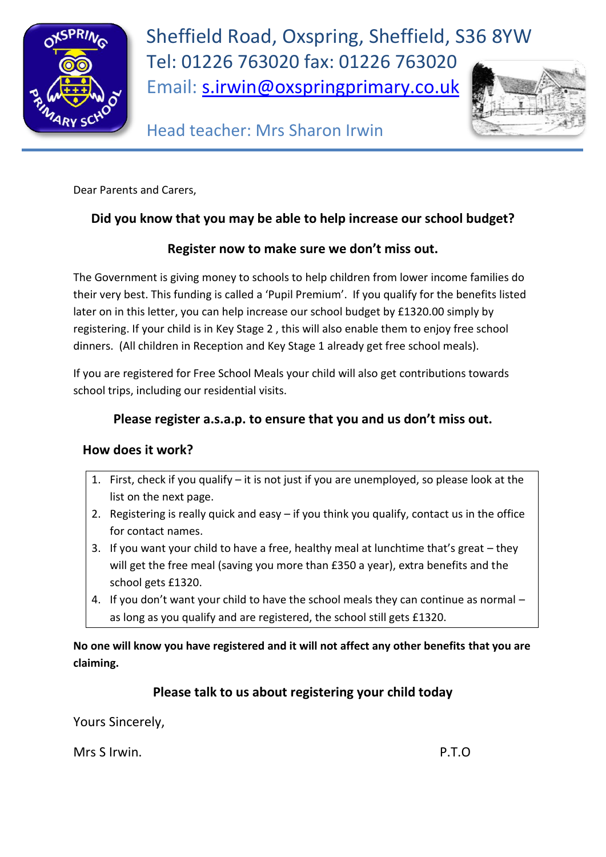

Sheffield Road, Oxspring, Sheffield, S36 8YW Tel: 01226 763020 fax: 01226 763020 Email: [s.irwin@oxspringprimary.co.uk](mailto:s.irwin@oxspringprimary.co.uk)



Head teacher: Mrs Sharon Irwin

Dear Parents and Carers,

## **Did you know that you may be able to help increase our school budget?**

## **Register now to make sure we don't miss out.**

The Government is giving money to schools to help children from lower income families do their very best. This funding is called a 'Pupil Premium'. If you qualify for the benefits listed later on in this letter, you can help increase our school budget by £1320.00 simply by registering. If your child is in Key Stage 2 , this will also enable them to enjoy free school dinners. (All children in Reception and Key Stage 1 already get free school meals).

If you are registered for Free School Meals your child will also get contributions towards school trips, including our residential visits.

## **Please register a.s.a.p. to ensure that you and us don't miss out.**

#### **How does it work?**

- 1. First, check if you qualify it is not just if you are unemployed, so please look at the list on the next page.
- 2. Registering is really quick and easy if you think you qualify, contact us in the office for contact names.
- 3. If you want your child to have a free, healthy meal at lunchtime that's great they will get the free meal (saving you more than £350 a year), extra benefits and the school gets £1320.
- 4. If you don't want your child to have the school meals they can continue as normal as long as you qualify and are registered, the school still gets £1320.

**No one will know you have registered and it will not affect any other benefits that you are claiming.**

# **Please talk to us about registering your child today**

Yours Sincerely,

Mrs S Irwin. **P.T.O**